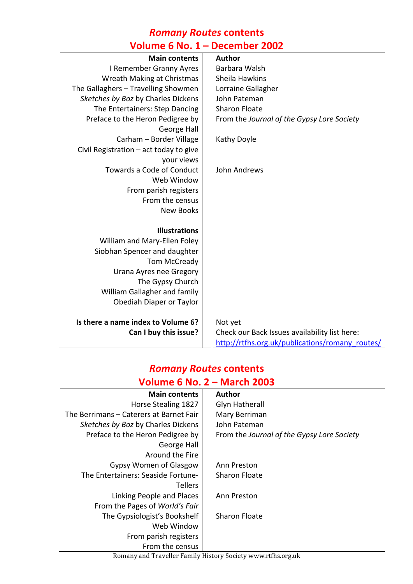#### *Romany Routes* **contents Volume 6 No. 1 – December 2002**

| <b>URBITE O IVO. T</b>                 | DECENINEI ZUUZ                                  |
|----------------------------------------|-------------------------------------------------|
| <b>Main contents</b>                   | <b>Author</b>                                   |
| I Remember Granny Ayres                | Barbara Walsh                                   |
| Wreath Making at Christmas             | Sheila Hawkins                                  |
| The Gallaghers - Travelling Showmen    | Lorraine Gallagher                              |
| Sketches by Boz by Charles Dickens     | John Pateman                                    |
| The Entertainers: Step Dancing         | <b>Sharon Floate</b>                            |
| Preface to the Heron Pedigree by       | From the Journal of the Gypsy Lore Society      |
| George Hall                            |                                                 |
| Carham - Border Village                | Kathy Doyle                                     |
| Civil Registration - act today to give |                                                 |
| your views                             |                                                 |
| <b>Towards a Code of Conduct</b>       | John Andrews                                    |
| Web Window                             |                                                 |
| From parish registers                  |                                                 |
| From the census                        |                                                 |
| <b>New Books</b>                       |                                                 |
|                                        |                                                 |
| <b>Illustrations</b>                   |                                                 |
| William and Mary-Ellen Foley           |                                                 |
| Siobhan Spencer and daughter           |                                                 |
| Tom McCready                           |                                                 |
| Urana Ayres nee Gregory                |                                                 |
| The Gypsy Church                       |                                                 |
| William Gallagher and family           |                                                 |
| Obediah Diaper or Taylor               |                                                 |
| Is there a name index to Volume 6?     | Not yet                                         |
| Can I buy this issue?                  | Check our Back Issues availability list here:   |
|                                        | http://rtfhs.org.uk/publications/romany_routes/ |

### *Romany Routes* **contents Volume 6 No. 2 – March 2003**

| <b>Main contents</b>                    |  | <b>Author</b>                              |
|-----------------------------------------|--|--------------------------------------------|
| Horse Stealing 1827                     |  | <b>Glyn Hatherall</b>                      |
| The Berrimans – Caterers at Barnet Fair |  | Mary Berriman                              |
| Sketches by Boz by Charles Dickens      |  | John Pateman                               |
| Preface to the Heron Pedigree by        |  | From the Journal of the Gypsy Lore Society |
| George Hall                             |  |                                            |
| Around the Fire                         |  |                                            |
| <b>Gypsy Women of Glasgow</b>           |  | Ann Preston                                |
| The Entertainers: Seaside Fortune-      |  | Sharon Floate                              |
| <b>Tellers</b>                          |  |                                            |
| Linking People and Places               |  | Ann Preston                                |
| From the Pages of World's Fair          |  |                                            |
| The Gypsiologist's Bookshelf            |  | <b>Sharon Floate</b>                       |
| Web Window                              |  |                                            |
| From parish registers                   |  |                                            |
| From the census                         |  |                                            |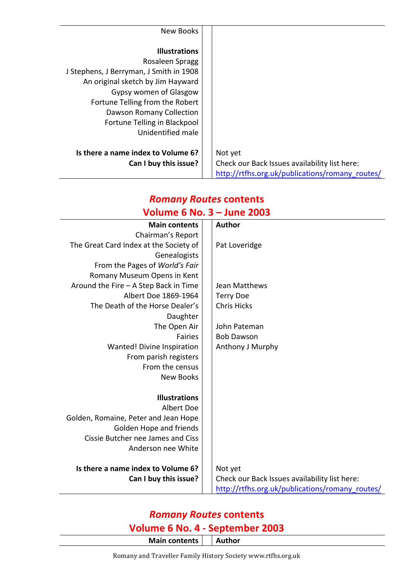| New Books                               |                                                 |
|-----------------------------------------|-------------------------------------------------|
|                                         |                                                 |
| <b>Illustrations</b>                    |                                                 |
| Rosaleen Spragg                         |                                                 |
| J Stephens, J Berryman, J Smith in 1908 |                                                 |
| An original sketch by Jim Hayward       |                                                 |
| Gypsy women of Glasgow                  |                                                 |
| Fortune Telling from the Robert         |                                                 |
| Dawson Romany Collection                |                                                 |
| Fortune Telling in Blackpool            |                                                 |
| Unidentified male                       |                                                 |
|                                         |                                                 |
| Is there a name index to Volume 6?      | Not yet                                         |
| Can I buy this issue?                   | Check our Back Issues availability list here:   |
|                                         | http://rtfhs.org.uk/publications/romany routes/ |

# *Romany Routes* **contents Volume 6 No. 3 – June 2003**

| <b>Main contents</b>                   |  | <b>Author</b>                                   |
|----------------------------------------|--|-------------------------------------------------|
| Chairman's Report                      |  |                                                 |
| The Great Card Index at the Society of |  | Pat Loveridge                                   |
| Genealogists                           |  |                                                 |
| From the Pages of World's Fair         |  |                                                 |
| Romany Museum Opens in Kent            |  |                                                 |
| Around the Fire - A Step Back in Time  |  | Jean Matthews                                   |
| Albert Doe 1869-1964                   |  | <b>Terry Doe</b>                                |
| The Death of the Horse Dealer's        |  | <b>Chris Hicks</b>                              |
| Daughter                               |  |                                                 |
| The Open Air                           |  | John Pateman                                    |
| <b>Fairies</b>                         |  | <b>Bob Dawson</b>                               |
| Wanted! Divine Inspiration             |  | Anthony J Murphy                                |
| From parish registers                  |  |                                                 |
| From the census                        |  |                                                 |
| <b>New Books</b>                       |  |                                                 |
|                                        |  |                                                 |
| <b>Illustrations</b>                   |  |                                                 |
| Albert Doe                             |  |                                                 |
| Golden, Romaine, Peter and Jean Hope   |  |                                                 |
| Golden Hope and friends                |  |                                                 |
| Cissie Butcher nee James and Ciss      |  |                                                 |
| Anderson nee White                     |  |                                                 |
|                                        |  |                                                 |
| Is there a name index to Volume 6?     |  | Not yet                                         |
| Can I buy this issue?                  |  | Check our Back Issues availability list here:   |
|                                        |  | http://rtfhs.org.uk/publications/romany_routes/ |

## *Romany Routes* **contents**

#### **Volume 6 No. 4 - September 2003**

**Main contents Author** 

Romany and Traveller Family History Society www.rtfhs.org.uk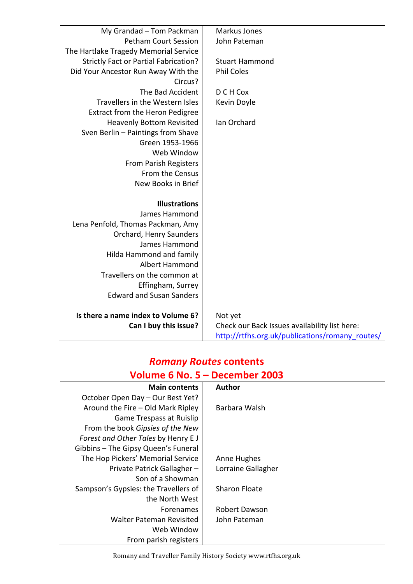| My Grandad - Tom Packman                     | Markus Jones                                    |
|----------------------------------------------|-------------------------------------------------|
| <b>Petham Court Session</b>                  | John Pateman                                    |
| The Hartlake Tragedy Memorial Service        |                                                 |
| <b>Strictly Fact or Partial Fabrication?</b> | <b>Stuart Hammond</b>                           |
| Did Your Ancestor Run Away With the          | <b>Phil Coles</b>                               |
| Circus?                                      |                                                 |
| The Bad Accident                             | D C H Cox                                       |
| Travellers in the Western Isles              | Kevin Doyle                                     |
| Extract from the Heron Pedigree              |                                                 |
| <b>Heavenly Bottom Revisited</b>             | Ian Orchard                                     |
| Sven Berlin - Paintings from Shave           |                                                 |
| Green 1953-1966                              |                                                 |
| Web Window                                   |                                                 |
| From Parish Registers                        |                                                 |
| From the Census                              |                                                 |
| New Books in Brief                           |                                                 |
|                                              |                                                 |
| <b>Illustrations</b>                         |                                                 |
| James Hammond                                |                                                 |
| Lena Penfold, Thomas Packman, Amy            |                                                 |
| Orchard, Henry Saunders                      |                                                 |
| James Hammond                                |                                                 |
| Hilda Hammond and family                     |                                                 |
| Albert Hammond                               |                                                 |
| Travellers on the common at                  |                                                 |
| Effingham, Surrey                            |                                                 |
| <b>Edward and Susan Sanders</b>              |                                                 |
|                                              |                                                 |
| Is there a name index to Volume 6?           | Not yet                                         |
| Can I buy this issue?                        | Check our Back Issues availability list here:   |
|                                              | http://rtfhs.org.uk/publications/romany routes/ |

#### *Romany Routes* **contents Volume 6 No. 5 – December 2003**

| <b>Main contents</b>                 | <b>Author</b>        |
|--------------------------------------|----------------------|
| October Open Day - Our Best Yet?     |                      |
| Around the Fire - Old Mark Ripley    | Barbara Walsh        |
| Game Trespass at Ruislip             |                      |
| From the book Gipsies of the New     |                      |
| Forest and Other Tales by Henry EJ   |                      |
| Gibbins - The Gipsy Queen's Funeral  |                      |
| The Hop Pickers' Memorial Service    | Anne Hughes          |
| Private Patrick Gallagher-           | Lorraine Gallagher   |
| Son of a Showman                     |                      |
| Sampson's Gypsies: the Travellers of | <b>Sharon Floate</b> |
| the North West                       |                      |
| <b>Forenames</b>                     | Robert Dawson        |
| <b>Walter Pateman Revisited</b>      | John Pateman         |
| Web Window                           |                      |
| From parish registers                |                      |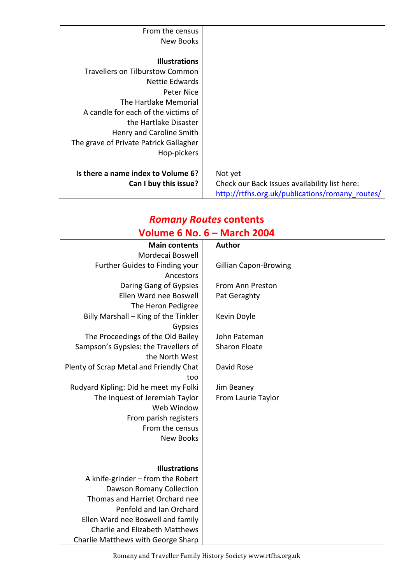| From the census                        |                                                 |
|----------------------------------------|-------------------------------------------------|
| <b>New Books</b>                       |                                                 |
|                                        |                                                 |
| <b>Illustrations</b>                   |                                                 |
| <b>Travellers on Tilburstow Common</b> |                                                 |
| Nettie Edwards                         |                                                 |
| <b>Peter Nice</b>                      |                                                 |
| The Hartlake Memorial                  |                                                 |
| A candle for each of the victims of    |                                                 |
| the Hartlake Disaster                  |                                                 |
| Henry and Caroline Smith               |                                                 |
| The grave of Private Patrick Gallagher |                                                 |
| Hop-pickers                            |                                                 |
|                                        |                                                 |
| Is there a name index to Volume 6?     | Not yet                                         |
| Can I buy this issue?                  | Check our Back Issues availability list here:   |
|                                        | http://rtfhs.org.uk/publications/romany routes/ |

# *Romany Routes* **contents**

|  | Volume 6 No. $6 -$ March 2004 |  |
|--|-------------------------------|--|
|  |                               |  |

| <b>Main contents</b>                    | <b>Author</b>                |
|-----------------------------------------|------------------------------|
| Mordecai Boswell                        |                              |
| Further Guides to Finding your          | <b>Gillian Capon-Browing</b> |
| Ancestors                               |                              |
| Daring Gang of Gypsies                  | From Ann Preston             |
| Ellen Ward nee Boswell                  | Pat Geraghty                 |
| The Heron Pedigree                      |                              |
| Billy Marshall - King of the Tinkler    | Kevin Doyle                  |
| Gypsies                                 |                              |
| The Proceedings of the Old Bailey       | John Pateman                 |
| Sampson's Gypsies: the Travellers of    | <b>Sharon Floate</b>         |
| the North West                          |                              |
| Plenty of Scrap Metal and Friendly Chat | David Rose                   |
| too                                     |                              |
| Rudyard Kipling: Did he meet my Folki   | Jim Beaney                   |
| The Inquest of Jeremiah Taylor          | From Laurie Taylor           |
| Web Window                              |                              |
| From parish registers                   |                              |
| From the census                         |                              |
| <b>New Books</b>                        |                              |
|                                         |                              |
|                                         |                              |
| <b>Illustrations</b>                    |                              |
| A knife-grinder – from the Robert       |                              |
| Dawson Romany Collection                |                              |
| Thomas and Harriet Orchard nee          |                              |
| Penfold and Ian Orchard                 |                              |
| Ellen Ward nee Boswell and family       |                              |
| Charlie and Elizabeth Matthews          |                              |
| Charlie Matthews with George Sharp      |                              |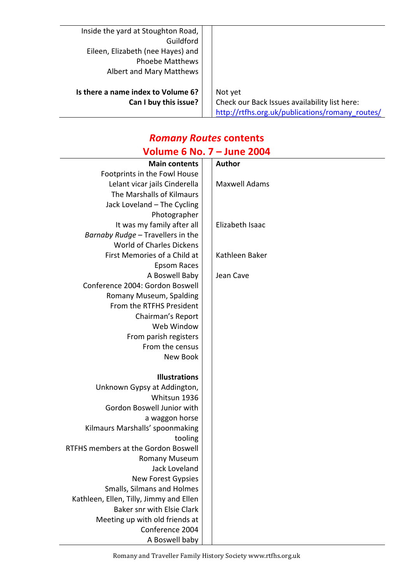| Inside the yard at Stoughton Road, |                                                 |
|------------------------------------|-------------------------------------------------|
| Guildford                          |                                                 |
| Eileen, Elizabeth (nee Hayes) and  |                                                 |
| <b>Phoebe Matthews</b>             |                                                 |
| Albert and Mary Matthews           |                                                 |
|                                    |                                                 |
| Is there a name index to Volume 6? | Not yet                                         |
| Can I buy this issue?              | Check our Back Issues availability list here:   |
|                                    | http://rtfhs.org.uk/publications/romany routes/ |

# *Romany Routes* **contents**

# **Volume 6 No. 7 – June 2004**

| <b>Main contents</b>                    | <b>Author</b>        |
|-----------------------------------------|----------------------|
| Footprints in the Fowl House            |                      |
| Lelant vicar jails Cinderella           | <b>Maxwell Adams</b> |
| The Marshalls of Kilmaurs               |                      |
| Jack Loveland - The Cycling             |                      |
| Photographer                            |                      |
| It was my family after all              | Elizabeth Isaac      |
| Barnaby Rudge - Travellers in the       |                      |
| <b>World of Charles Dickens</b>         |                      |
| First Memories of a Child at            | Kathleen Baker       |
| Epsom Races                             |                      |
| A Boswell Baby                          | Jean Cave            |
| Conference 2004: Gordon Boswell         |                      |
| Romany Museum, Spalding                 |                      |
| From the RTFHS President                |                      |
| Chairman's Report                       |                      |
| Web Window                              |                      |
| From parish registers                   |                      |
| From the census                         |                      |
| New Book                                |                      |
|                                         |                      |
| <b>Illustrations</b>                    |                      |
| Unknown Gypsy at Addington,             |                      |
| Whitsun 1936                            |                      |
| Gordon Boswell Junior with              |                      |
| a waggon horse                          |                      |
| Kilmaurs Marshalls' spoonmaking         |                      |
| tooling                                 |                      |
| RTFHS members at the Gordon Boswell     |                      |
| <b>Romany Museum</b>                    |                      |
| Jack Loveland                           |                      |
| <b>New Forest Gypsies</b>               |                      |
| Smalls, Silmans and Holmes              |                      |
| Kathleen, Ellen, Tilly, Jimmy and Ellen |                      |
| <b>Baker snr with Elsie Clark</b>       |                      |
| Meeting up with old friends at          |                      |
| Conference 2004                         |                      |
| A Boswell baby                          |                      |